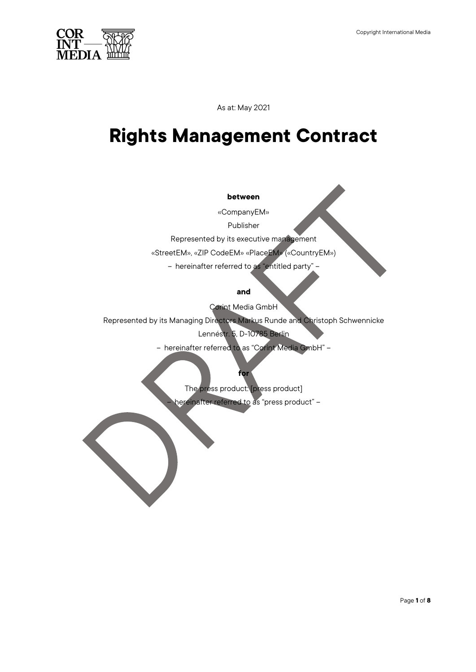

As at: May 2021

# **Rights Management Contract**

#### **between**

«CompanyEM»

Publisher

Represented by its executive management

«StreetEM», «ZIP CodeEM» «PlaceEM» («CountryEM»)

– hereinafter referred to as "entitled party" –

### **and**

Corint Media GmbH

Represented by its Managing Directors Markus Runde and Christoph Schwennicke

Lennéstr. 5, D-10785 Berlin

– hereinafter referred to as "Corint Media GmbH" –

**for** The press product: [press product]

– hereinafter referred to as "press product" –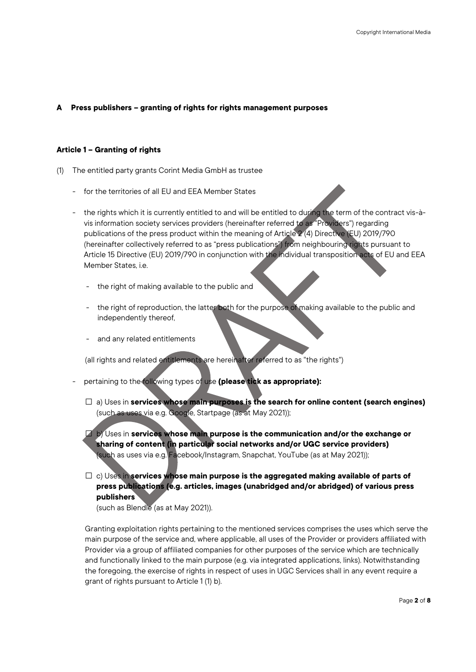# **A Press publishers – granting of rights for rights management purposes**

### **Article 1 – Granting of rights**

- (1) The entitled party grants Corint Media GmbH as trustee
	- for the territories of all EU and EEA Member States
	- the rights which it is currently entitled to and will be entitled to during the term of the contract vis-àvis information society services providers (hereinafter referred to as "Providers") regarding publications of the press product within the meaning of Article 2 (4) Directive (EU) 2019/790 (hereinafter collectively referred to as "press publications") from neighbouring rights pursuant to Article 15 Directive (EU) 2019/790 in conjunction with the individual transposition acts of EU and EEA Member States, i.e.
		- the right of making available to the public and
		- the right of reproduction, the latter both for the purpose of making available to the public and independently thereof,
		- and any related entitlements

(all rights and related entitlements are hereinafter referred to as "the rights")

- pertaining to the following types of use **(please tick as appropriate):**
	- □ a) Uses in **services whose main purposes is the search for online content (search engines)** (such as uses via e.g. Google, Startpage (as at May 2021));

□ b) Uses in **services whose main purpose is the communication and/or the exchange or sharing of content (in particular social networks and/or UGC service providers)** (such as uses via e.g. Facebook/Instagram, Snapchat, YouTube (as at May 2021));

□ c) Uses in **services whose main purpose is the aggregated making available of parts of press publications (e.g. articles, images (unabridged and/or abridged) of various press publishers**

(such as Blendle (as at May 2021)).

Granting exploitation rights pertaining to the mentioned services comprises the uses which serve the main purpose of the service and, where applicable, all uses of the Provider or providers affiliated with Provider via a group of affiliated companies for other purposes of the service which are technically and functionally linked to the main purpose (e.g. via integrated applications, links). Notwithstanding the foregoing, the exercise of rights in respect of uses in UGC Services shall in any event require a grant of rights pursuant to Article 1 (1) b).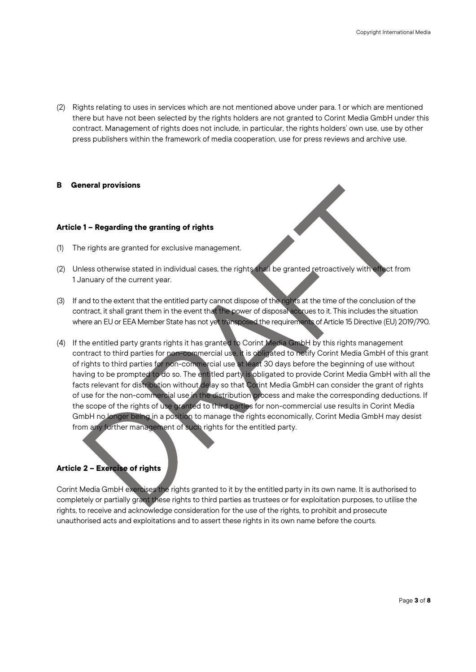(2) Rights relating to uses in services which are not mentioned above under para. 1 or which are mentioned there but have not been selected by the rights holders are not granted to Corint Media GmbH under this contract. Management of rights does not include, in particular, the rights holders' own use, use by other press publishers within the framework of media cooperation, use for press reviews and archive use.

#### **B General provisions**

# **Article 1 – Regarding the granting of rights**

- (1) The rights are granted for exclusive management.
- (2) Unless otherwise stated in individual cases, the rights shall be granted retroactively with effect from 1 January of the current year.
- (3) If and to the extent that the entitled party cannot dispose of the rights at the time of the conclusion of the contract, it shall grant them in the event that the power of disposal accrues to it. This includes the situation where an EU or EEA Member State has not yet transposed the requirements of Article 15 Directive (EU) 2019/790.
- (4) If the entitled party grants rights it has granted to Corint Media GmbH by this rights management contract to third parties for non-commercial use, it is obligated to notify Corint Media GmbH of this grant of rights to third parties for non-commercial use at least 30 days before the beginning of use without having to be prompted to do so. The entitled party is obligated to provide Corint Media GmbH with all the facts relevant for distribution without delay so that Corint Media GmbH can consider the grant of rights of use for the non-commercial use in the distribution process and make the corresponding deductions. If the scope of the rights of use granted to third parties for non-commercial use results in Corint Media GmbH no longer being in a position to manage the rights economically, Corint Media GmbH may desist from any further management of such rights for the entitled party.

# **Article 2 – Exercise of rights**

Corint Media GmbH exercises the rights granted to it by the entitled party in its own name. It is authorised to completely or partially grant these rights to third parties as trustees or for exploitation purposes, to utilise the rights, to receive and acknowledge consideration for the use of the rights, to prohibit and prosecute unauthorised acts and exploitations and to assert these rights in its own name before the courts.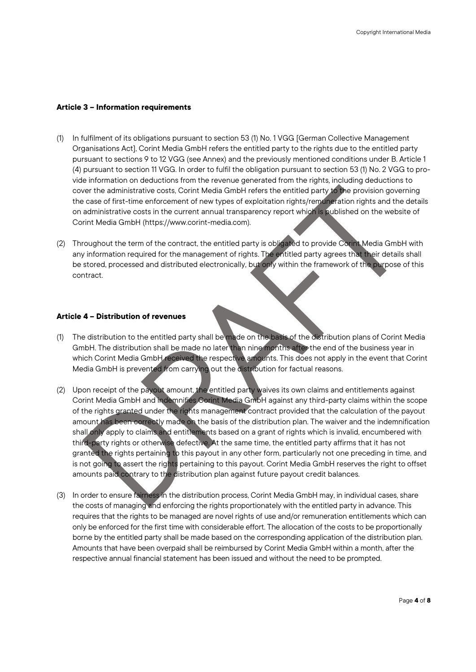# **Article 3 – Information requirements**

- (1) In fulfilment of its obligations pursuant to section 53 (1) No. 1 VGG [German Collective Management Organisations Act], Corint Media GmbH refers the entitled party to the rights due to the entitled party pursuant to sections 9 to 12 VGG (see Annex) and the previously mentioned conditions under B. Article 1 (4) pursuant to section 11 VGG. In order to fulfil the obligation pursuant to section 53 (1) No. 2 VGG to provide information on deductions from the revenue generated from the rights, including deductions to cover the administrative costs, Corint Media GmbH refers the entitled party to the provision governing the case of first-time enforcement of new types of exploitation rights/remuneration rights and the details on administrative costs in the current annual transparency report which is published on the website of Corint Media GmbH (https://www.corint-media.com).
- (2) Throughout the term of the contract, the entitled party is obligated to provide Corint Media GmbH with any information required for the management of rights. The entitled party agrees that their details shall be stored, processed and distributed electronically, but only within the framework of the purpose of this contract.

#### **Article 4 – Distribution of revenues**

- (1) The distribution to the entitled party shall be made on the basis of the distribution plans of Corint Media GmbH. The distribution shall be made no later than nine months after the end of the business year in which Corint Media GmbH received the respective amounts. This does not apply in the event that Corint Media GmbH is prevented from carrying out the distribution for factual reasons.
- (2) Upon receipt of the payout amount, the entitled party waives its own claims and entitlements against Corint Media GmbH and indemnifies Corint Media GmbH against any third-party claims within the scope of the rights granted under the rights management contract provided that the calculation of the payout amount has been correctly made on the basis of the distribution plan. The waiver and the indemnification shall only apply to claims and entitlements based on a grant of rights which is invalid, encumbered with third-party rights or otherwise defective. At the same time, the entitled party affirms that it has not granted the rights pertaining to this payout in any other form, particularly not one preceding in time, and is not going to assert the rights pertaining to this payout. Corint Media GmbH reserves the right to offset amounts paid contrary to the distribution plan against future payout credit balances.
- (3) In order to ensure fairness in the distribution process, Corint Media GmbH may, in individual cases, share the costs of managing and enforcing the rights proportionately with the entitled party in advance. This requires that the rights to be managed are novel rights of use and/or remuneration entitlements which can only be enforced for the first time with considerable effort. The allocation of the costs to be proportionally borne by the entitled party shall be made based on the corresponding application of the distribution plan. Amounts that have been overpaid shall be reimbursed by Corint Media GmbH within a month, after the respective annual financial statement has been issued and without the need to be prompted.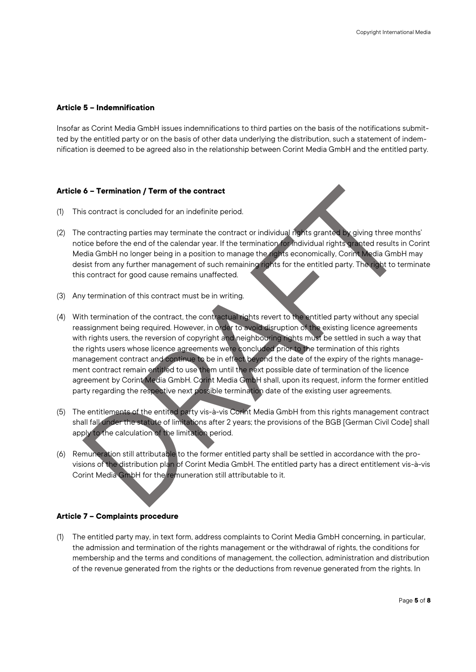# **Article 5 – Indemnification**

Insofar as Corint Media GmbH issues indemnifications to third parties on the basis of the notifications submitted by the entitled party or on the basis of other data underlying the distribution, such a statement of indemnification is deemed to be agreed also in the relationship between Corint Media GmbH and the entitled party.

# **Article 6 – Termination / Term of the contract**

- (1) This contract is concluded for an indefinite period.
- (2) The contracting parties may terminate the contract or individual rights granted by giving three months' notice before the end of the calendar year. If the termination for individual rights granted results in Corint Media GmbH no longer being in a position to manage the rights economically, Corint Media GmbH may desist from any further management of such remaining rights for the entitled party. The right to terminate this contract for good cause remains unaffected.
- (3) Any termination of this contract must be in writing.
- (4) With termination of the contract, the contractual rights revert to the entitled party without any special reassignment being required. However, in order to avoid disruption of the existing licence agreements with rights users, the reversion of copyright and neighbouring rights must be settled in such a way that the rights users whose licence agreements were concluded prior to the termination of this rights management contract and continue to be in effect beyond the date of the expiry of the rights management contract remain entitled to use them until the next possible date of termination of the licence agreement by Corint Media GmbH. Corint Media GmbH shall, upon its request, inform the former entitled party regarding the respective next possible termination date of the existing user agreements.
- (5) The entitlements of the entited party vis-à-vis Corint Media GmbH from this rights management contract shall fall under the statute of limitations after 2 years; the provisions of the BGB [German Civil Code] shall apply to the calculation of the limitation period.
- (6) Remuneration still attributable to the former entitled party shall be settled in accordance with the provisions of the distribution plan of Corint Media GmbH. The entitled party has a direct entitlement vis-à-vis Corint Media GmbH for the remuneration still attributable to it.

# **Article 7 – Complaints procedure**

(1) The entitled party may, in text form, address complaints to Corint Media GmbH concerning, in particular, the admission and termination of the rights management or the withdrawal of rights, the conditions for membership and the terms and conditions of management, the collection, administration and distribution of the revenue generated from the rights or the deductions from revenue generated from the rights. In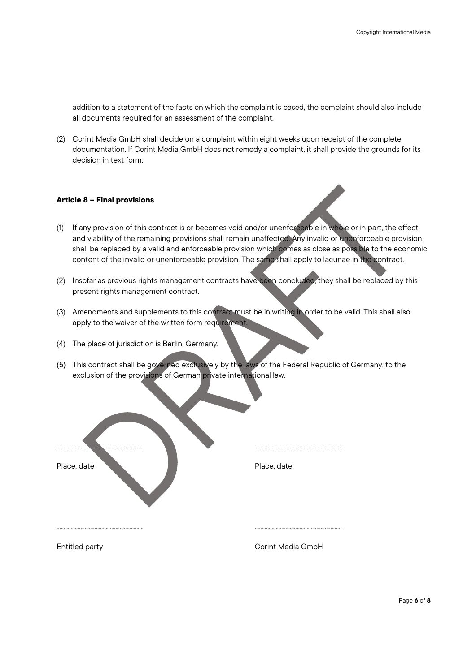addition to a statement of the facts on which the complaint is based, the complaint should also include all documents required for an assessment of the complaint.

(2) Corint Media GmbH shall decide on a complaint within eight weeks upon receipt of the complete documentation. If Corint Media GmbH does not remedy a complaint, it shall provide the grounds for its decision in text form.

# **Article 8 – Final provisions**

- (1) If any provision of this contract is or becomes void and/or unenforceable in whole or in part, the effect and viability of the remaining provisions shall remain unaffected. Any invalid or unenforceable provision shall be replaced by a valid and enforceable provision which comes as close as possible to the economic content of the invalid or unenforceable provision. The same shall apply to lacunae in the contract.
- (2) Insofar as previous rights management contracts have been concluded, they shall be replaced by this present rights management contract.
- (3) Amendments and supplements to this contract must be in writing in order to be valid. This shall also apply to the waiver of the written form requirement.
- (4) The place of jurisdiction is Berlin, Germany.
- (5) This contract shall be governed exclusively by the laws of the Federal Republic of Germany, to the exclusion of the provisions of German private international law.

| Place, date | Place, date |
|-------------|-------------|
|             |             |

Entitled party **Corint Media GmbH**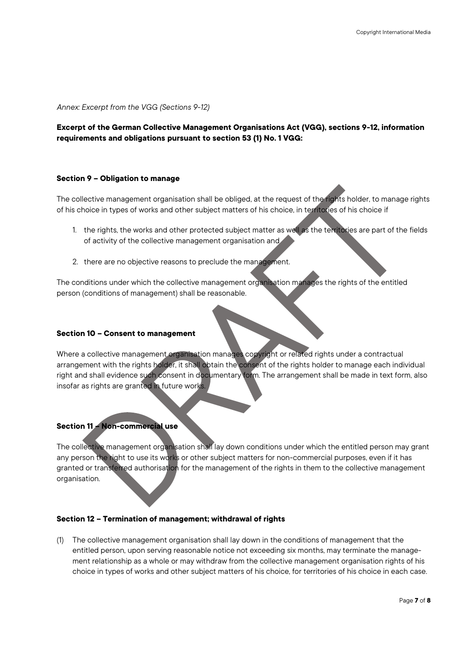*Annex: Excerpt from the VGG (Sections 9-12)*

**Excerpt of the German Collective Management Organisations Act (VGG), sections 9-12, information requirements and obligations pursuant to section 53 (1) No. 1 VGG:**

#### **Section 9 – Obligation to manage**

The collective management organisation shall be obliged, at the request of the rights holder, to manage rights of his choice in types of works and other subject matters of his choice, in territories of his choice if

- 1. the rights, the works and other protected subject matter as well as the territories are part of the fields of activity of the collective management organisation and
- 2. there are no objective reasons to preclude the management.

The conditions under which the collective management organisation manages the rights of the entitled person (conditions of management) shall be reasonable.

#### **Section 10 – Consent to management**

Where a collective management organisation manages copyright or related rights under a contractual arrangement with the rights holder, it shall obtain the consent of the rights holder to manage each individual right and shall evidence such consent in documentary form. The arrangement shall be made in text form, also insofar as rights are granted in future works.

# **Section 11 – Non-commercial use**

The collective management organisation shall lay down conditions under which the entitled person may grant any person the right to use its works or other subject matters for non-commercial purposes, even if it has granted or transferred authorisation for the management of the rights in them to the collective management organisation.

#### **Section 12 – Termination of management; withdrawal of rights**

(1) The collective management organisation shall lay down in the conditions of management that the entitled person, upon serving reasonable notice not exceeding six months, may terminate the management relationship as a whole or may withdraw from the collective management organisation rights of his choice in types of works and other subject matters of his choice, for territories of his choice in each case.